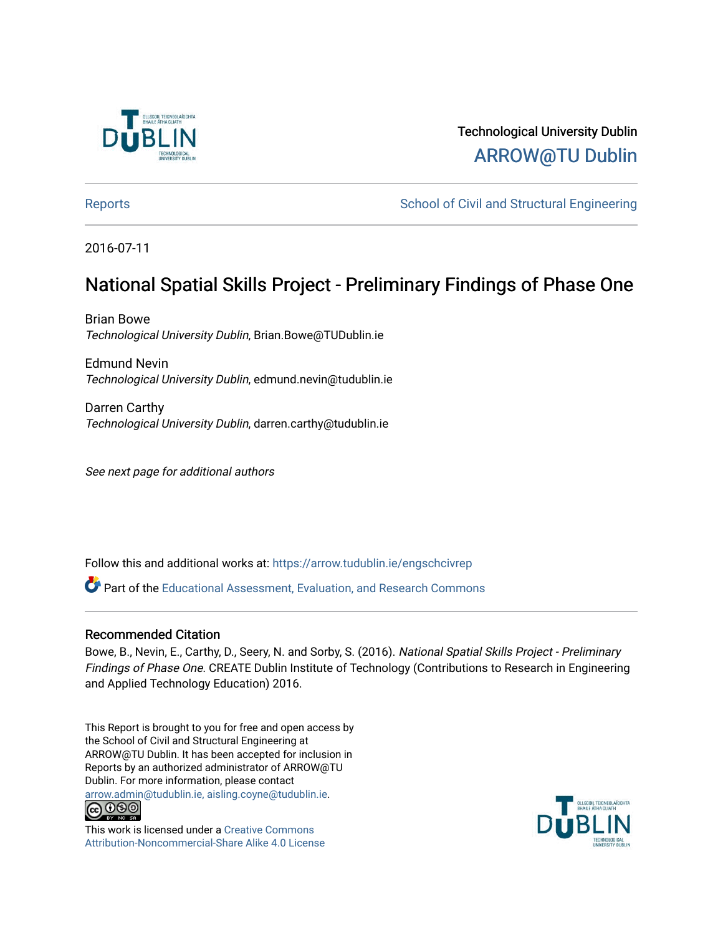

# Technological University Dublin [ARROW@TU Dublin](https://arrow.tudublin.ie/)

[Reports](https://arrow.tudublin.ie/engschcivrep) **School of Civil and Structural Engineering** School of Civil and Structural Engineering

2016-07-11

# National Spatial Skills Project - Preliminary Findings of Phase One

Brian Bowe Technological University Dublin, Brian.Bowe@TUDublin.ie

Edmund Nevin Technological University Dublin, edmund.nevin@tudublin.ie

Darren Carthy Technological University Dublin, darren.carthy@tudublin.ie

See next page for additional authors

Follow this and additional works at: [https://arrow.tudublin.ie/engschcivrep](https://arrow.tudublin.ie/engschcivrep?utm_source=arrow.tudublin.ie%2Fengschcivrep%2F7&utm_medium=PDF&utm_campaign=PDFCoverPages)

Part of the [Educational Assessment, Evaluation, and Research Commons](http://network.bepress.com/hgg/discipline/796?utm_source=arrow.tudublin.ie%2Fengschcivrep%2F7&utm_medium=PDF&utm_campaign=PDFCoverPages)

#### Recommended Citation

Bowe, B., Nevin, E., Carthy, D., Seery, N. and Sorby, S. (2016). National Spatial Skills Project - Preliminary Findings of Phase One. CREATE Dublin Institute of Technology (Contributions to Research in Engineering and Applied Technology Education) 2016.

This Report is brought to you for free and open access by the School of Civil and Structural Engineering at ARROW@TU Dublin. It has been accepted for inclusion in Reports by an authorized administrator of ARROW@TU Dublin. For more information, please contact [arrow.admin@tudublin.ie, aisling.coyne@tudublin.ie](mailto:arrow.admin@tudublin.ie,%20aisling.coyne@tudublin.ie).



This work is licensed under a [Creative Commons](http://creativecommons.org/licenses/by-nc-sa/4.0/) [Attribution-Noncommercial-Share Alike 4.0 License](http://creativecommons.org/licenses/by-nc-sa/4.0/)

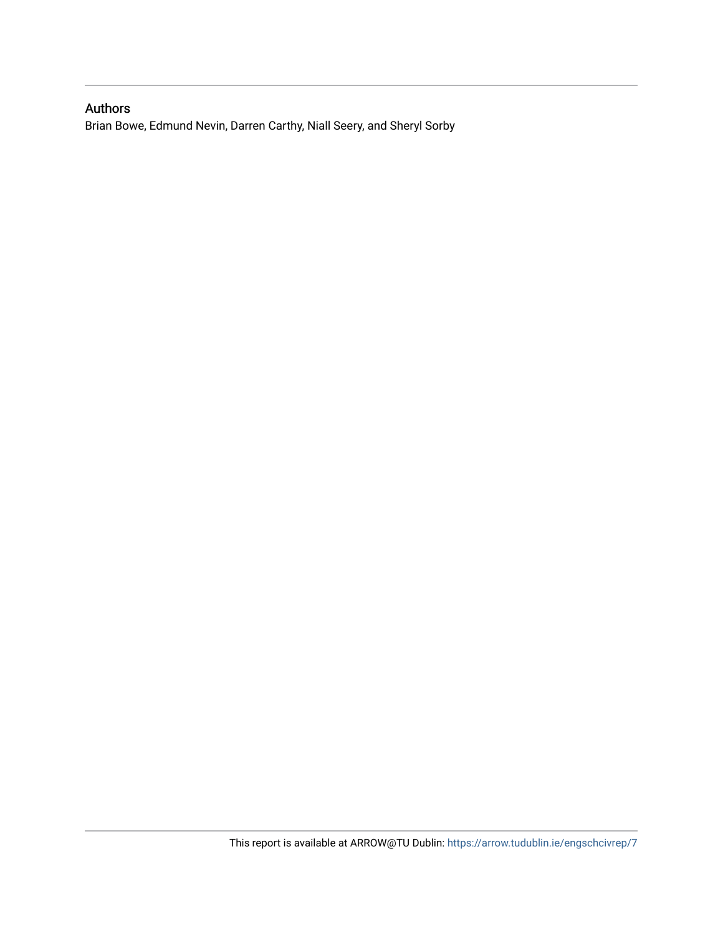## Authors

Brian Bowe, Edmund Nevin, Darren Carthy, Niall Seery, and Sheryl Sorby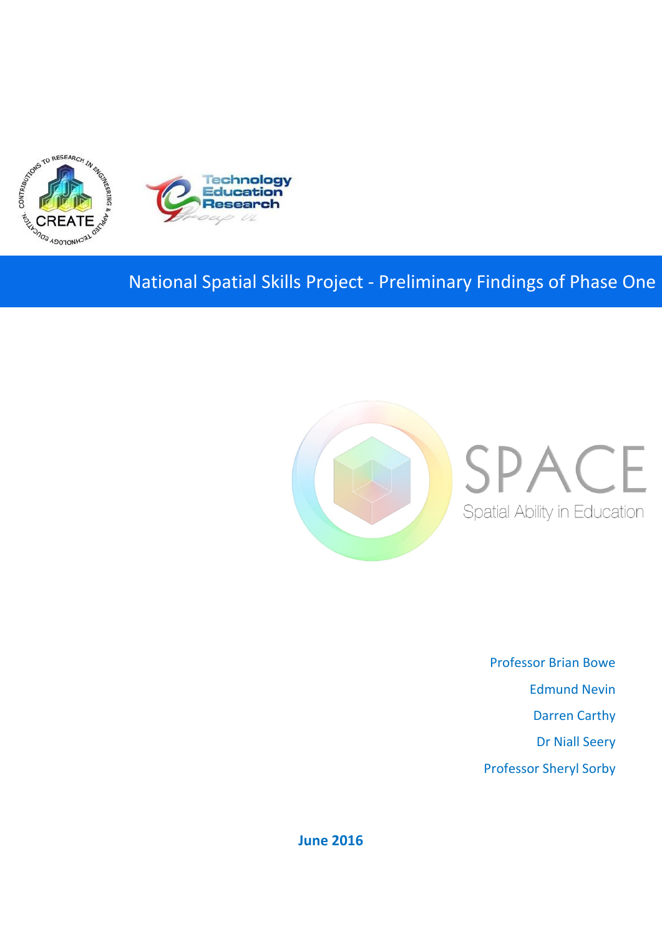

# National Spatial Skills Project - Preliminary Findings of Phase One



Professor Brian Bowe Edmund Nevin Darren Carthy Dr Niall Seery Professor Sheryl Sorby

**June 2016**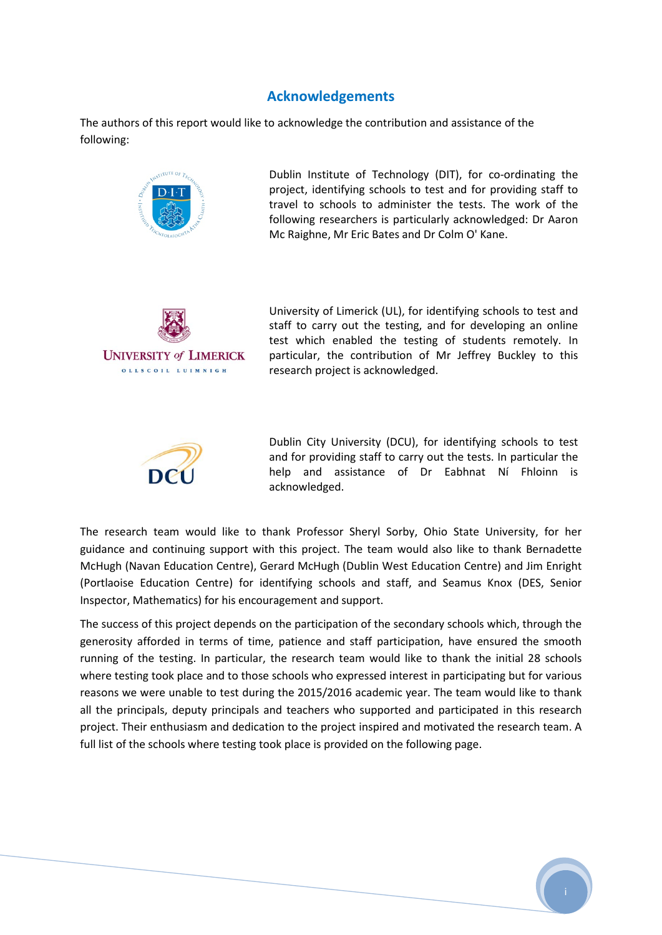## **Acknowledgements**

<span id="page-3-0"></span>The authors of this report would like to acknowledge the contribution and assistance of the following:



Dublin Institute of Technology (DIT), for co-ordinating the project, identifying schools to test and for providing staff to travel to schools to administer the tests. The work of the following researchers is particularly acknowledged: Dr Aaron Mc Raighne, Mr Eric Bates and Dr Colm O' Kane.



University of Limerick (UL), for identifying schools to test and staff to carry out the testing, and for developing an online test which enabled the testing of students remotely. In particular, the contribution of Mr Jeffrey Buckley to this research project is acknowledged.



Dublin City University (DCU), for identifying schools to test and for providing staff to carry out the tests. In particular the help and assistance of Dr Eabhnat Ní Fhloinn is acknowledged.

The research team would like to thank Professor Sheryl Sorby, Ohio State University, for her guidance and continuing support with this project. The team would also like to thank Bernadette McHugh (Navan Education Centre), Gerard McHugh (Dublin West Education Centre) and Jim Enright (Portlaoise Education Centre) for identifying schools and staff, and Seamus Knox (DES, Senior Inspector, Mathematics) for his encouragement and support.

The success of this project depends on the participation of the secondary schools which, through the generosity afforded in terms of time, patience and staff participation, have ensured the smooth running of the testing. In particular, the research team would like to thank the initial 28 schools where testing took place and to those schools who expressed interest in participating but for various reasons we were unable to test during the 2015/2016 academic year. The team would like to thank all the principals, deputy principals and teachers who supported and participated in this research project. Their enthusiasm and dedication to the project inspired and motivated the research team. A full list of the schools where testing took place is provided on the following page.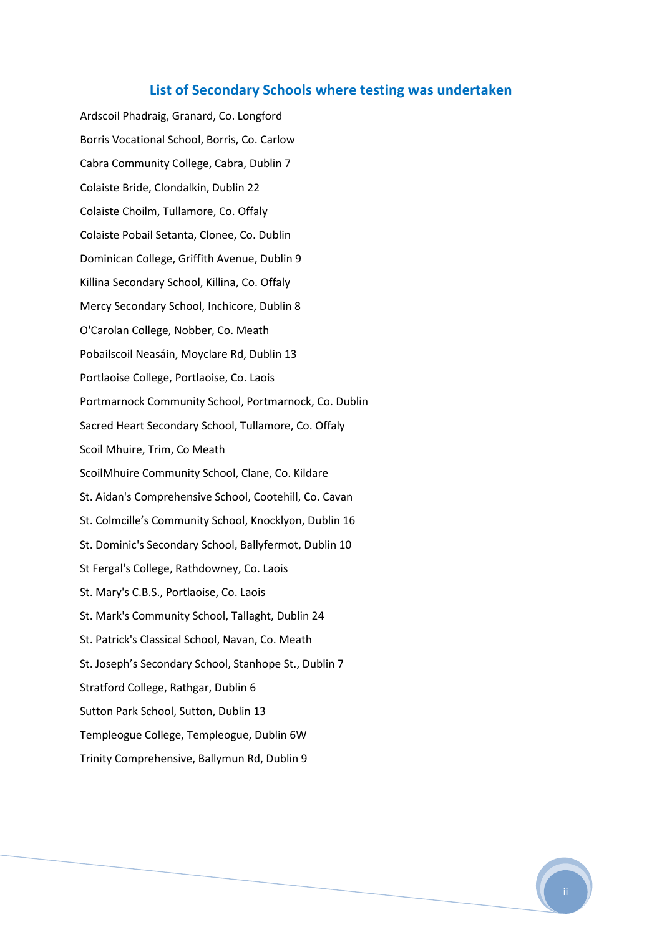## **List of Secondary Schools where testing was undertaken**

<span id="page-4-0"></span>Ardscoil Phadraig, Granard, Co. Longford Borris Vocational School, Borris, Co. Carlow Cabra Community College, Cabra, Dublin 7 Colaiste Bride, Clondalkin, Dublin 22 Colaiste Choilm, Tullamore, Co. Offaly Colaiste Pobail Setanta, Clonee, Co. Dublin Dominican College, Griffith Avenue, Dublin 9 Killina Secondary School, Killina, Co. Offaly Mercy Secondary School, Inchicore, Dublin 8 O'Carolan College, Nobber, Co. Meath Pobailscoil Neasáin, Moyclare Rd, Dublin 13 Portlaoise College, Portlaoise, Co. Laois Portmarnock Community School, Portmarnock, Co. Dublin Sacred Heart Secondary School, Tullamore, Co. Offaly Scoil Mhuire, Trim, Co Meath ScoilMhuire Community School, Clane, Co. Kildare St. Aidan's Comprehensive School, Cootehill, Co. Cavan St. Colmcille's Community School, Knocklyon, Dublin 16 St. Dominic's Secondary School, Ballyfermot, Dublin 10 St Fergal's College, Rathdowney, Co. Laois St. Mary's C.B.S., Portlaoise, Co. Laois St. Mark's Community School, Tallaght, Dublin 24 St. Patrick's Classical School, Navan, Co. Meath St. Joseph's Secondary School, Stanhope St., Dublin 7 Stratford College, Rathgar, Dublin 6 Sutton Park School, Sutton, Dublin 13 Templeogue College, Templeogue, Dublin 6W Trinity Comprehensive, Ballymun Rd, Dublin 9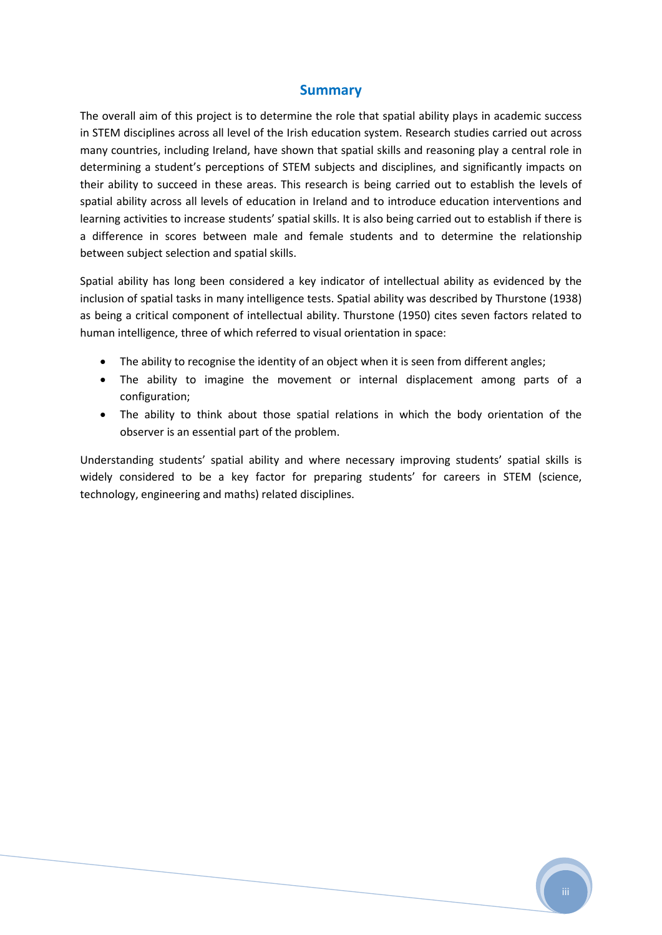## **Summary**

The overall aim of this project is to determine the role that spatial ability plays in academic success in STEM disciplines across all level of the Irish education system. Research studies carried out across many countries, including Ireland, have shown that spatial skills and reasoning play a central role in determining a student's perceptions of STEM subjects and disciplines, and significantly impacts on their ability to succeed in these areas. This research is being carried out to establish the levels of spatial ability across all levels of education in Ireland and to introduce education interventions and learning activities to increase students' spatial skills. It is also being carried out to establish if there is a difference in scores between male and female students and to determine the relationship between subject selection and spatial skills.

Spatial ability has long been considered a key indicator of intellectual ability as evidenced by the inclusion of spatial tasks in many intelligence tests. Spatial ability was described by Thurstone (1938) as being a critical component of intellectual ability. Thurstone (1950) cites seven factors related to human intelligence, three of which referred to visual orientation in space:

- The ability to recognise the identity of an object when it is seen from different angles;
- The ability to imagine the movement or internal displacement among parts of a configuration;
- The ability to think about those spatial relations in which the body orientation of the observer is an essential part of the problem.

Understanding students' spatial ability and where necessary improving students' spatial skills is widely considered to be a key factor for preparing students' for careers in STEM (science, technology, engineering and maths) related disciplines.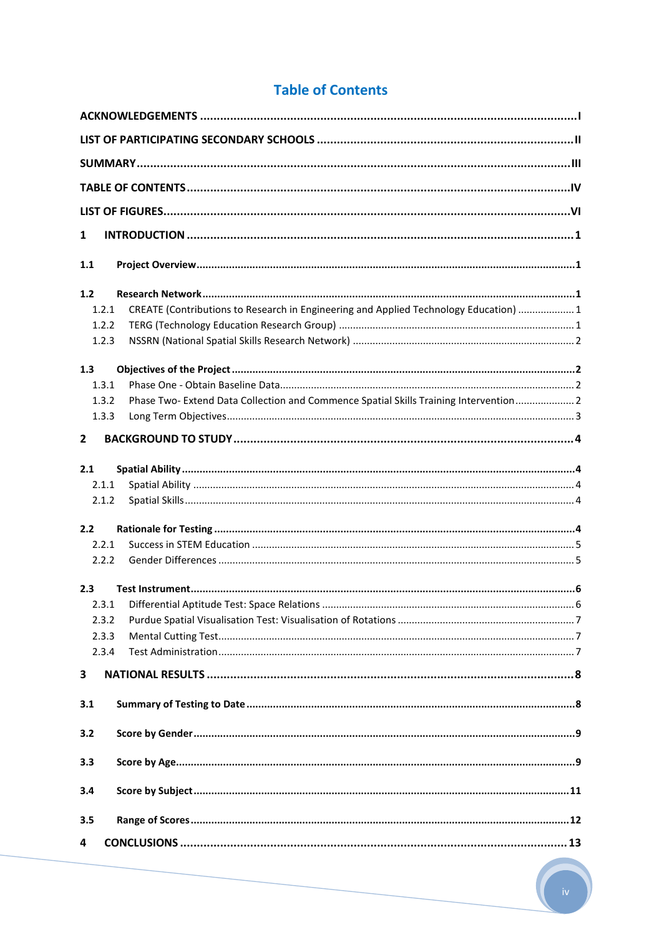## **Table of Contents**

<span id="page-6-0"></span>

| 1     |                                                                                       |  |
|-------|---------------------------------------------------------------------------------------|--|
| 1.1   |                                                                                       |  |
| 1.2   |                                                                                       |  |
| 1.2.1 | CREATE (Contributions to Research in Engineering and Applied Technology Education)  1 |  |
| 1.2.2 |                                                                                       |  |
| 1.2.3 |                                                                                       |  |
| 1.3   |                                                                                       |  |
| 1.3.1 |                                                                                       |  |
| 1.3.2 | Phase Two- Extend Data Collection and Commence Spatial Skills Training Intervention 2 |  |
| 1.3.3 |                                                                                       |  |
| 2     |                                                                                       |  |
| 2.1   |                                                                                       |  |
| 2.1.1 |                                                                                       |  |
| 2.1.2 |                                                                                       |  |
| 2.2   |                                                                                       |  |
| 2.2.1 |                                                                                       |  |
| 2.2.2 |                                                                                       |  |
| 2.3   |                                                                                       |  |
| 2.3.1 |                                                                                       |  |
| 2.3.2 |                                                                                       |  |
| 2.3.3 |                                                                                       |  |
| 2.3.4 |                                                                                       |  |
| 3     |                                                                                       |  |
| 3.1   |                                                                                       |  |
| 3.2   |                                                                                       |  |
| 3.3   |                                                                                       |  |
| 3.4   |                                                                                       |  |
| 3.5   |                                                                                       |  |
| 4     |                                                                                       |  |
|       |                                                                                       |  |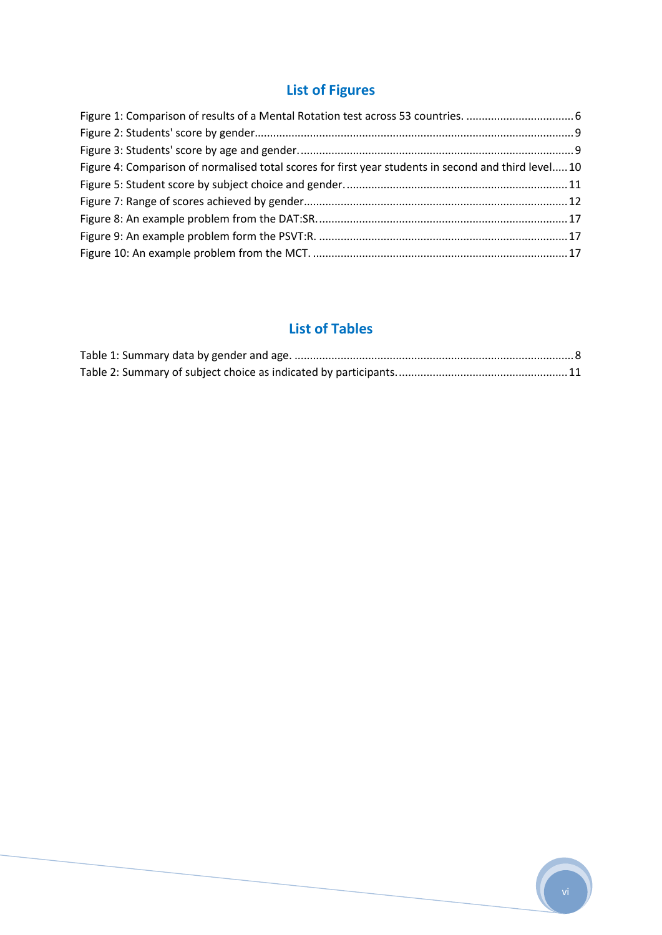# **List of Figures**

<span id="page-8-0"></span>

| Figure 4: Comparison of normalised total scores for first year students in second and third level10 |  |
|-----------------------------------------------------------------------------------------------------|--|
|                                                                                                     |  |
|                                                                                                     |  |
|                                                                                                     |  |
|                                                                                                     |  |
|                                                                                                     |  |

# **List of Tables**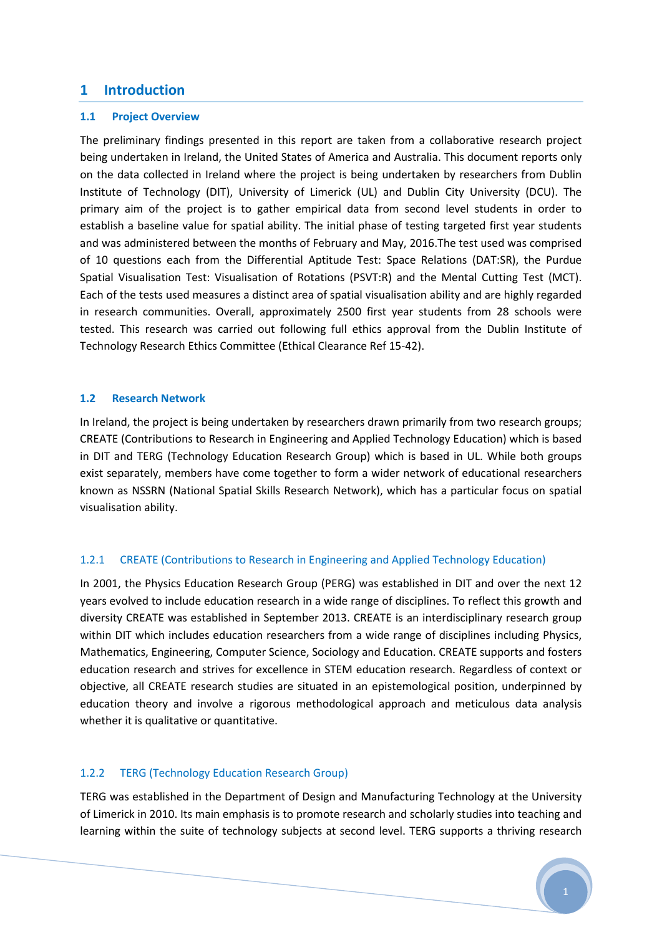## <span id="page-9-0"></span>**1 Introduction**

#### <span id="page-9-1"></span>**1.1 Project Overview**

The preliminary findings presented in this report are taken from a collaborative research project being undertaken in Ireland, the United States of America and Australia. This document reports only on the data collected in Ireland where the project is being undertaken by researchers from Dublin Institute of Technology (DIT), University of Limerick (UL) and Dublin City University (DCU). The primary aim of the project is to gather empirical data from second level students in order to establish a baseline value for spatial ability. The initial phase of testing targeted first year students and was administered between the months of February and May, 2016.The test used was comprised of 10 questions each from the Differential Aptitude Test: Space Relations (DAT:SR), the Purdue Spatial Visualisation Test: Visualisation of Rotations (PSVT:R) and the Mental Cutting Test (MCT). Each of the tests used measures a distinct area of spatial visualisation ability and are highly regarded in research communities. Overall, approximately 2500 first year students from 28 schools were tested. This research was carried out following full ethics approval from the Dublin Institute of Technology Research Ethics Committee (Ethical Clearance Ref 15-42).

#### <span id="page-9-2"></span>**1.2 Research Network**

In Ireland, the project is being undertaken by researchers drawn primarily from two research groups; CREATE (Contributions to Research in Engineering and Applied Technology Education) which is based in DIT and TERG (Technology Education Research Group) which is based in UL. While both groups exist separately, members have come together to form a wider network of educational researchers known as NSSRN (National Spatial Skills Research Network), which has a particular focus on spatial visualisation ability.

#### <span id="page-9-3"></span>1.2.1 CREATE (Contributions to Research in Engineering and Applied Technology Education)

In 2001, the Physics Education Research Group (PERG) was established in DIT and over the next 12 years evolved to include education research in a wide range of disciplines. To reflect this growth and diversity CREATE was established in September 2013. CREATE is an interdisciplinary research group within DIT which includes education researchers from a wide range of disciplines including Physics, Mathematics, Engineering, Computer Science, Sociology and Education. CREATE supports and fosters education research and strives for excellence in STEM education research. Regardless of context or objective, all CREATE research studies are situated in an epistemological position, underpinned by education theory and involve a rigorous methodological approach and meticulous data analysis whether it is qualitative or quantitative.

#### <span id="page-9-4"></span>1.2.2 TERG (Technology Education Research Group)

TERG was established in the Department of Design and Manufacturing Technology at the University of Limerick in 2010. Its main emphasis is to promote research and scholarly studies into teaching and learning within the suite of technology subjects at second level. TERG supports a thriving research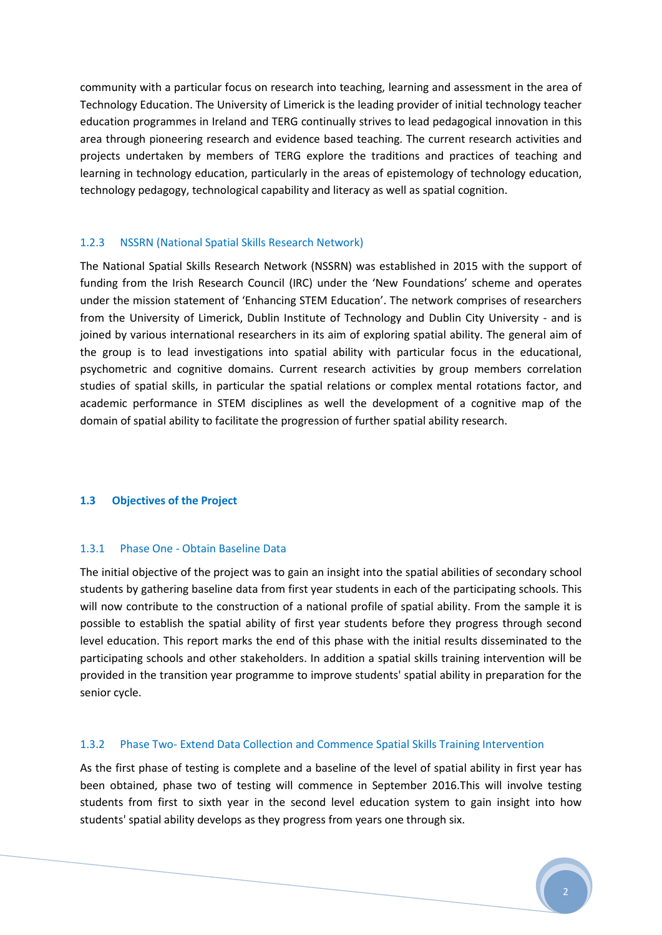community with a particular focus on research into teaching, learning and assessment in the area of Technology Education. The University of Limerick is the leading provider of initial technology teacher education programmes in Ireland and TERG continually strives to lead pedagogical innovation in this area through pioneering research and evidence based teaching. The current research activities and projects undertaken by members of TERG explore the traditions and practices of teaching and learning in technology education, particularly in the areas of epistemology of technology education, technology pedagogy, technological capability and literacy as well as spatial cognition.

#### <span id="page-10-0"></span>1.2.3 NSSRN (National Spatial Skills Research Network)

The National Spatial Skills Research Network (NSSRN) was established in 2015 with the support of funding from the [Irish Research Council](http://www.research.ie/) (IRC) under the 'New Foundations' scheme and operates under the mission statement of 'Enhancing STEM Education'. The network comprises of researchers from the University of Limerick, Dublin Institute of Technology and Dublin City University - and is joined by various international researchers in its aim of exploring spatial ability. The general aim of the group is to lead investigations into spatial ability with particular focus in the educational, psychometric and cognitive domains. Current research activities by group members correlation studies of spatial skills, in particular the spatial relations or complex mental rotations factor, and academic performance in STEM disciplines as well the development of a cognitive map of the domain of spatial ability to facilitate the progression of further spatial ability research.

#### <span id="page-10-1"></span>**1.3 Objectives of the Project**

#### <span id="page-10-2"></span>1.3.1 Phase One - Obtain Baseline Data

The initial objective of the project was to gain an insight into the spatial abilities of secondary school students by gathering baseline data from first year students in each of the participating schools. This will now contribute to the construction of a national profile of spatial ability. From the sample it is possible to establish the spatial ability of first year students before they progress through second level education. This report marks the end of this phase with the initial results disseminated to the participating schools and other stakeholders. In addition a spatial skills training intervention will be provided in the transition year programme to improve students' spatial ability in preparation for the senior cycle.

#### <span id="page-10-3"></span>1.3.2 Phase Two- Extend Data Collection and Commence Spatial Skills Training Intervention

As the first phase of testing is complete and a baseline of the level of spatial ability in first year has been obtained, phase two of testing will commence in September 2016.This will involve testing students from first to sixth year in the second level education system to gain insight into how students' spatial ability develops as they progress from years one through six.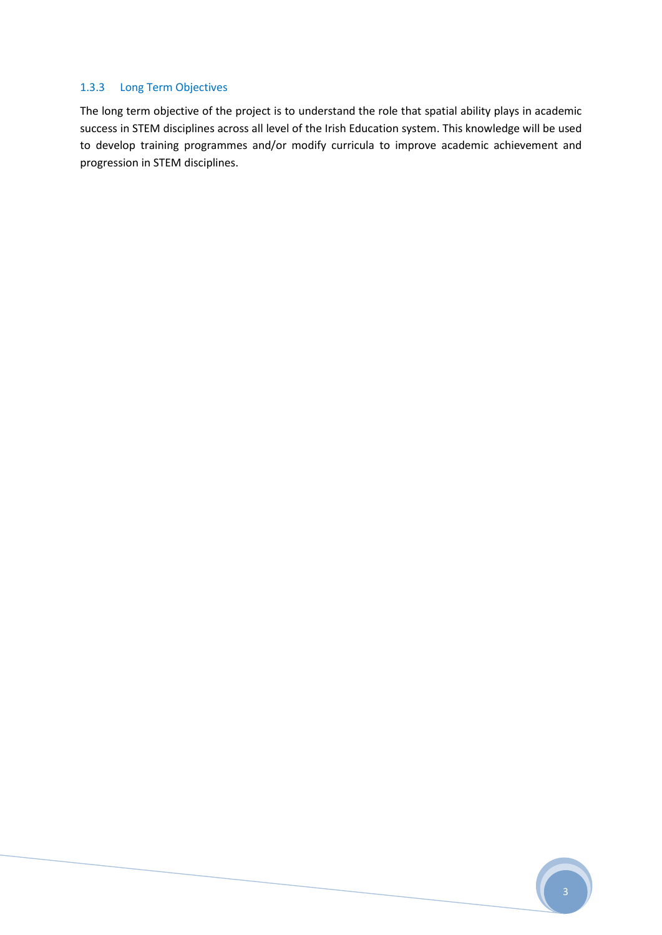## <span id="page-11-0"></span>1.3.3 Long Term Objectives

The long term objective of the project is to understand the role that spatial ability plays in academic success in STEM disciplines across all level of the Irish Education system. This knowledge will be used to develop training programmes and/or modify curricula to improve academic achievement and progression in STEM disciplines.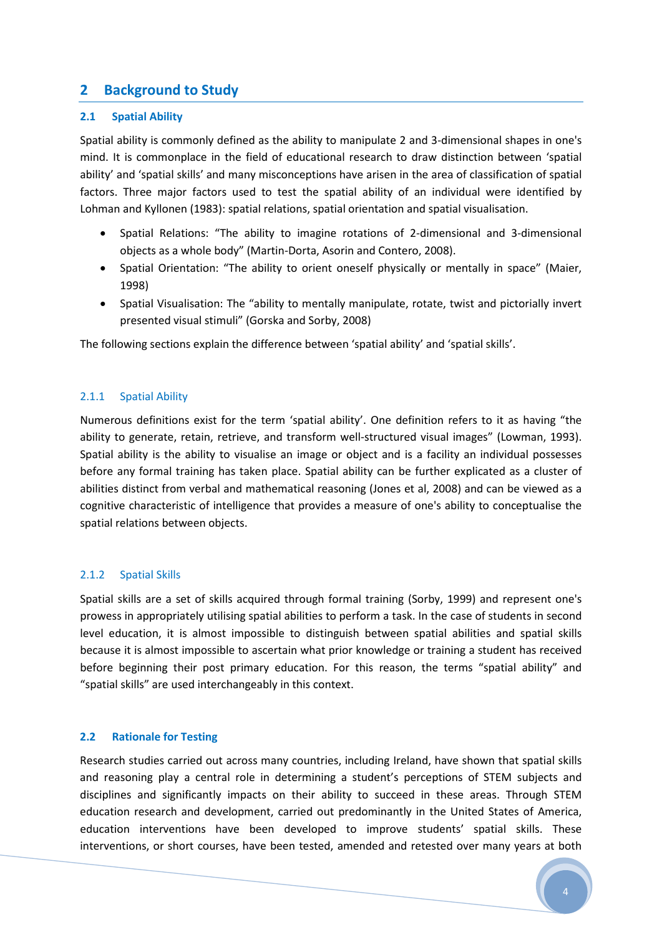## <span id="page-12-0"></span>**2 Background to Study**

## <span id="page-12-1"></span>**2.1 Spatial Ability**

Spatial ability is commonly defined as the ability to manipulate 2 and 3-dimensional shapes in one's mind. It is commonplace in the field of educational research to draw distinction between 'spatial ability' and 'spatial skills' and many misconceptions have arisen in the area of classification of spatial factors. Three major factors used to test the spatial ability of an individual were identified by Lohman and Kyllonen (1983): spatial relations, spatial orientation and spatial visualisation.

- Spatial Relations: "The ability to imagine rotations of 2-dimensional and 3-dimensional objects as a whole body" (Martin-Dorta, Asorin and Contero, 2008).
- Spatial Orientation: "The ability to orient oneself physically or mentally in space" (Maier, 1998)
- Spatial Visualisation: The "ability to mentally manipulate, rotate, twist and pictorially invert presented visual stimuli" (Gorska and Sorby, 2008)

The following sections explain the difference between 'spatial ability' and 'spatial skills'.

## <span id="page-12-2"></span>2.1.1 Spatial Ability

Numerous definitions exist for the term 'spatial ability'. One definition refers to it as having "the ability to generate, retain, retrieve, and transform well-structured visual images" (Lowman, 1993). Spatial ability is the ability to visualise an image or object and is a facility an individual possesses before any formal training has taken place. Spatial ability can be further explicated as a cluster of abilities distinct from verbal and mathematical reasoning (Jones et al, 2008) and can be viewed as a cognitive characteristic of intelligence that provides a measure of one's ability to conceptualise the spatial relations between objects.

## <span id="page-12-3"></span>2.1.2 Spatial Skills

Spatial skills are a set of skills acquired through formal training (Sorby, 1999) and represent one's prowess in appropriately utilising spatial abilities to perform a task. In the case of students in second level education, it is almost impossible to distinguish between spatial abilities and spatial skills because it is almost impossible to ascertain what prior knowledge or training a student has received before beginning their post primary education. For this reason, the terms "spatial ability" and "spatial skills" are used interchangeably in this context.

## <span id="page-12-4"></span>**2.2 Rationale for Testing**

Research studies carried out across many countries, including Ireland, have shown that spatial skills and reasoning play a central role in determining a student's perceptions of STEM subjects and disciplines and significantly impacts on their ability to succeed in these areas. Through STEM education research and development, carried out predominantly in the United States of America, education interventions have been developed to improve students' spatial skills. These interventions, or short courses, have been tested, amended and retested over many years at both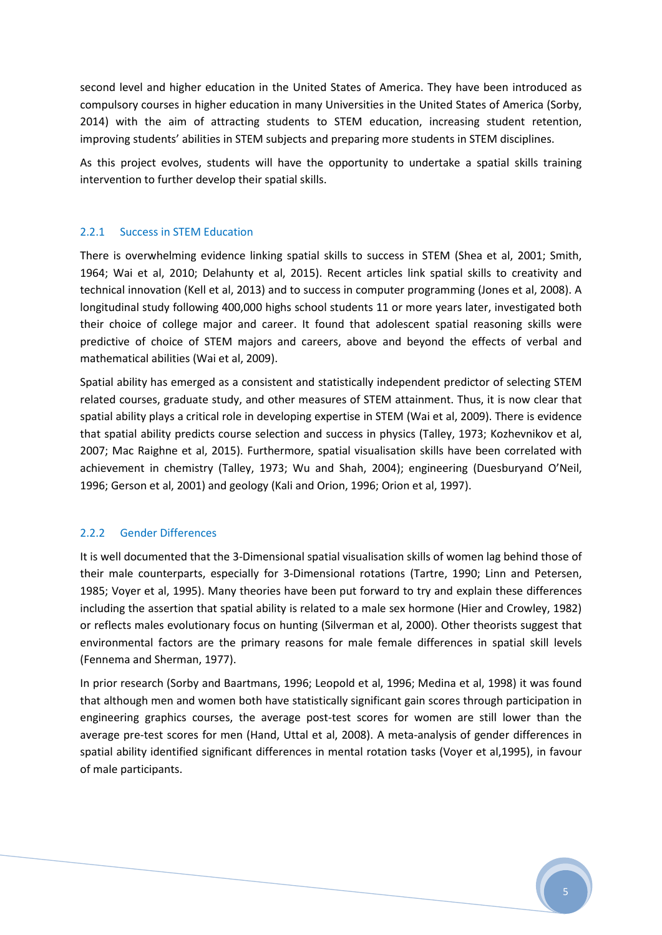second level and higher education in the United States of America. They have been introduced as compulsory courses in higher education in many Universities in the United States of America (Sorby, 2014) with the aim of attracting students to STEM education, increasing student retention, improving students' abilities in STEM subjects and preparing more students in STEM disciplines.

As this project evolves, students will have the opportunity to undertake a spatial skills training intervention to further develop their spatial skills.

### <span id="page-13-0"></span>2.2.1 Success in STEM Education

There is overwhelming evidence linking spatial skills to success in STEM (Shea et al, 2001; Smith, 1964; Wai et al, 2010; Delahunty et al, 2015). Recent articles link spatial skills to creativity and technical innovation (Kell et al, 2013) and to success in computer programming (Jones et al, 2008). A longitudinal study following 400,000 highs school students 11 or more years later, investigated both their choice of college major and career. It found that adolescent spatial reasoning skills were predictive of choice of STEM majors and careers, above and beyond the effects of verbal and mathematical abilities (Wai et al, 2009).

Spatial ability has emerged as a consistent and statistically independent predictor of selecting STEM related courses, graduate study, and other measures of STEM attainment. Thus, it is now clear that spatial ability plays a critical role in developing expertise in STEM (Wai et al, 2009). There is evidence that spatial ability predicts course selection and success in physics (Talley, 1973; Kozhevnikov et al, 2007; Mac Raighne et al, 2015). Furthermore, spatial visualisation skills have been correlated with achievement in chemistry (Talley, 1973; Wu and Shah, 2004); engineering (Duesburyand O'Neil, 1996; Gerson et al, 2001) and geology (Kali and Orion, 1996; Orion et al, 1997).

#### <span id="page-13-1"></span>2.2.2 Gender Differences

It is well documented that the 3-Dimensional spatial visualisation skills of women lag behind those of their male counterparts, especially for 3-Dimensional rotations (Tartre, 1990; Linn and Petersen, 1985; Voyer et al, 1995). Many theories have been put forward to try and explain these differences including the assertion that spatial ability is related to a male sex hormone (Hier and Crowley, 1982) or reflects males evolutionary focus on hunting (Silverman et al, 2000). Other theorists suggest that environmental factors are the primary reasons for male female differences in spatial skill levels (Fennema and Sherman, 1977).

In prior research (Sorby and Baartmans, 1996; Leopold et al, 1996; Medina et al, 1998) it was found that although men and women both have statistically significant gain scores through participation in engineering graphics courses, the average post-test scores for women are still lower than the average pre-test scores for men (Hand, Uttal et al, 2008). A meta-analysis of gender differences in spatial ability identified significant differences in mental rotation tasks (Voyer et al,1995), in favour of male participants.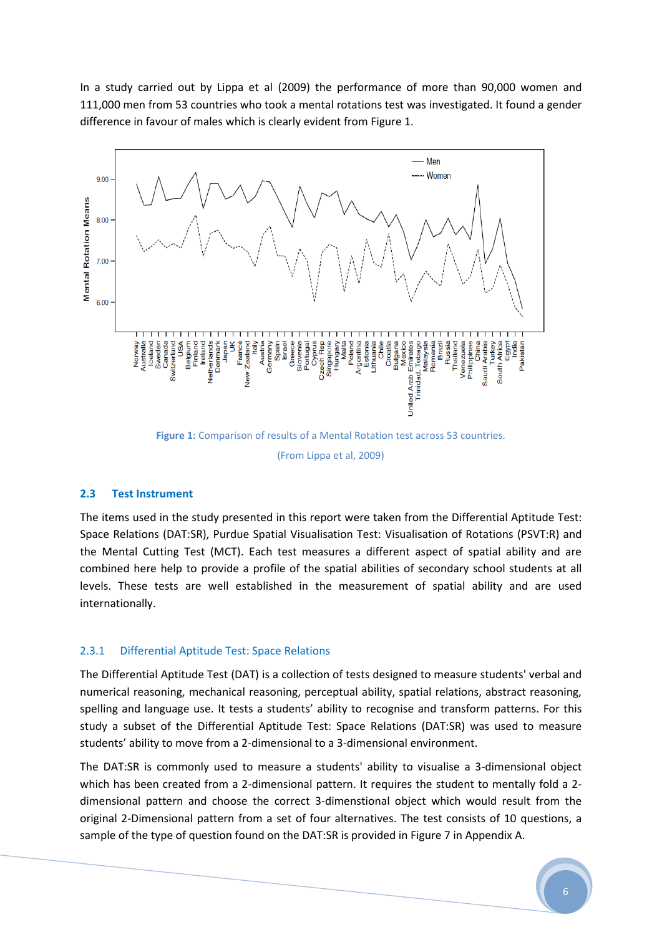In a study carried out by Lippa et al (2009) the performance of more than 90,000 women and 111,000 men from 53 countries who took a mental rotations test was investigated. It found a gender difference in favour of males which is clearly evident from [Figure 1.](#page-14-2)



**Figure 1:** Comparison of results of a Mental Rotation test across 53 countries.

(From Lippa et al, 2009)

## <span id="page-14-2"></span><span id="page-14-0"></span>**2.3 Test Instrument**

The items used in the study presented in this report were taken from the Differential Aptitude Test: Space Relations (DAT:SR), Purdue Spatial Visualisation Test: Visualisation of Rotations (PSVT:R) and the Mental Cutting Test (MCT). Each test measures a different aspect of spatial ability and are combined here help to provide a profile of the spatial abilities of secondary school students at all levels. These tests are well established in the measurement of spatial ability and are used internationally.

## <span id="page-14-1"></span>2.3.1 Differential Aptitude Test: Space Relations

The Differential Aptitude Test (DAT) is a collection of tests designed to measure students' verbal and numerical reasoning, mechanical reasoning, perceptual ability, spatial relations, abstract reasoning, spelling and language use. It tests a students' ability to recognise and transform patterns. For this study a subset of the Differential Aptitude Test: Space Relations (DAT:SR) was used to measure students' ability to move from a 2-dimensional to a 3-dimensional environment.

The DAT:SR is commonly used to measure a students' ability to visualise a 3-dimensional object which has been created from a 2-dimensional pattern. It requires the student to mentally fold a 2 dimensional pattern and choose the correct 3-dimenstional object which would result from the original 2-Dimensional pattern from a set of four alternatives. The test consists of 10 questions, a sample of the type of question found on the DAT:SR is provided in Figure 7 in Appendix A.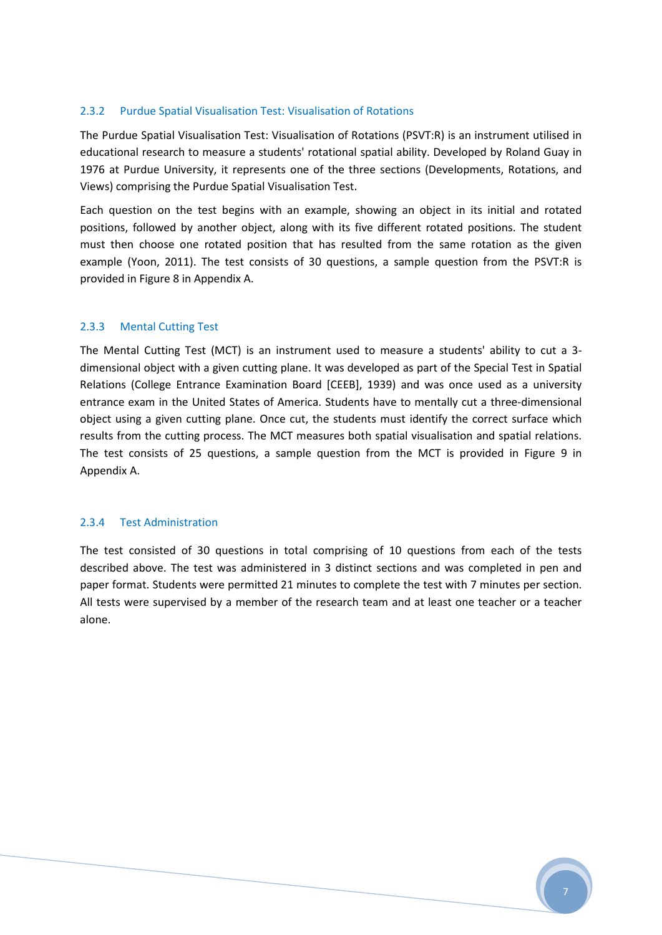## <span id="page-15-0"></span>2.3.2 Purdue Spatial Visualisation Test: Visualisation of Rotations

The Purdue Spatial Visualisation Test: Visualisation of Rotations (PSVT:R) is an instrument utilised in educational research to measure a students' rotational spatial ability. Developed by Roland Guay in 1976 at Purdue University, it represents one of the three sections (Developments, Rotations, and Views) comprising the Purdue Spatial Visualisation Test.

Each question on the test begins with an example, showing an object in its initial and rotated positions, followed by another object, along with its five different rotated positions. The student must then choose one rotated position that has resulted from the same rotation as the given example (Yoon, 2011). The test consists of 30 questions, a sample question from the PSVT:R is provided in Figure 8 in Appendix A.

## <span id="page-15-1"></span>2.3.3 Mental Cutting Test

The Mental Cutting Test (MCT) is an instrument used to measure a students' ability to cut a 3 dimensional object with a given cutting plane. It was developed as part of the Special Test in Spatial Relations (College Entrance Examination Board [CEEB], 1939) and was once used as a university entrance exam in the United States of America. Students have to mentally cut a three-dimensional object using a given cutting plane. Once cut, the students must identify the correct surface which results from the cutting process. The MCT measures both spatial visualisation and spatial relations. The test consists of 25 questions, a sample question from the MCT is provided in Figure 9 in Appendix A.

#### 2.3.4 Test Administration

The test consisted of 30 questions in total comprising of 10 questions from each of the tests described above. The test was administered in 3 distinct sections and was completed in pen and paper format. Students were permitted 21 minutes to complete the test with 7 minutes per section. All tests were supervised by a member of the research team and at least one teacher or a teacher alone.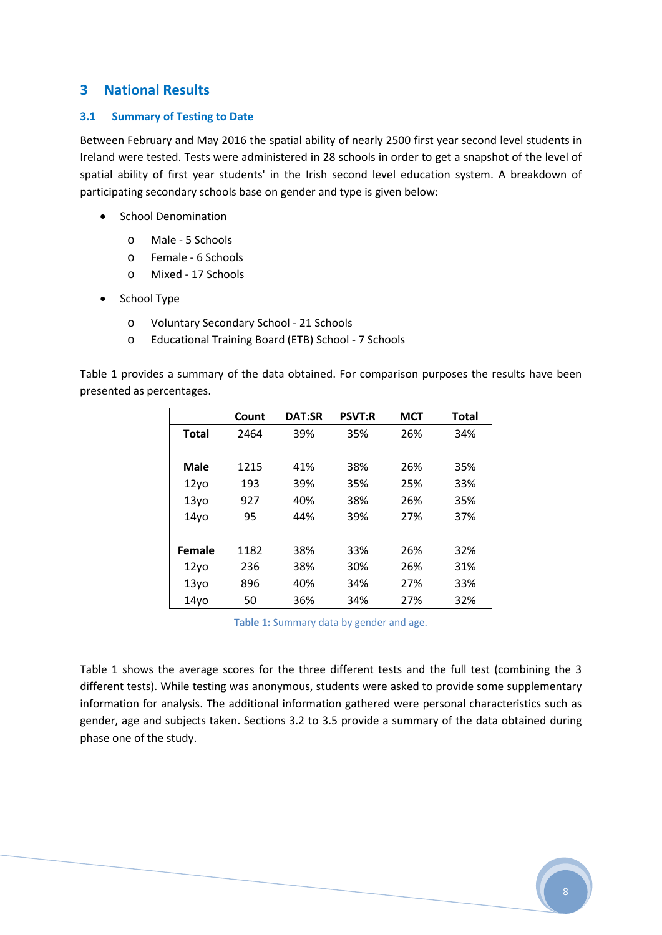## <span id="page-16-0"></span>**3 National Results**

## <span id="page-16-1"></span>**3.1 Summary of Testing to Date**

Between February and May 2016 the spatial ability of nearly 2500 first year second level students in Ireland were tested. Tests were administered in 28 schools in order to get a snapshot of the level of spatial ability of first year students' in the Irish second level education system. A breakdown of participating secondary schools base on gender and type is given below:

- School Denomination
	- o Male 5 Schools
	- o Female 6 Schools
	- o Mixed 17 Schools
- School Type
	- o Voluntary Secondary School 21 Schools
	- o Educational Training Board (ETB) School 7 Schools

[Table 1](#page-16-2) provides a summary of the data obtained. For comparison purposes the results have been presented as percentages.

|                  | Count | <b>DAT:SR</b> | <b>PSVT:R</b> | <b>MCT</b> | <b>Total</b> |
|------------------|-------|---------------|---------------|------------|--------------|
| <b>Total</b>     | 2464  | 39%           | 35%           | 26%        | 34%          |
|                  |       |               |               |            |              |
| <b>Male</b>      | 1215  | 41%           | 38%           | 26%        | 35%          |
| 12y <sub>0</sub> | 193   | 39%           | 35%           | 25%        | 33%          |
| 13y <sub>0</sub> | 927   | 40%           | 38%           | 26%        | 35%          |
| 14 <sub>VO</sub> | 95    | 44%           | 39%           | 27%        | 37%          |
|                  |       |               |               |            |              |
| Female           | 1182  | 38%           | 33%           | 26%        | 32%          |
| 12y <sub>O</sub> | 236   | 38%           | 30%           | 26%        | 31%          |
| 13y <sub>0</sub> | 896   | 40%           | 34%           | 27%        | 33%          |
| 14 <sub>yo</sub> | 50    | 36%           | 34%           | 27%        | 32%          |

**Table 1:** Summary data by gender and age.

<span id="page-16-2"></span>Table 1 shows the average scores for the three different tests and the full test (combining the 3 different tests). While testing was anonymous, students were asked to provide some supplementary information for analysis. The additional information gathered were personal characteristics such as gender, age and subjects taken. Sections [3.2](#page-17-0) to [3.5](#page-20-0) provide a summary of the data obtained during phase one of the study.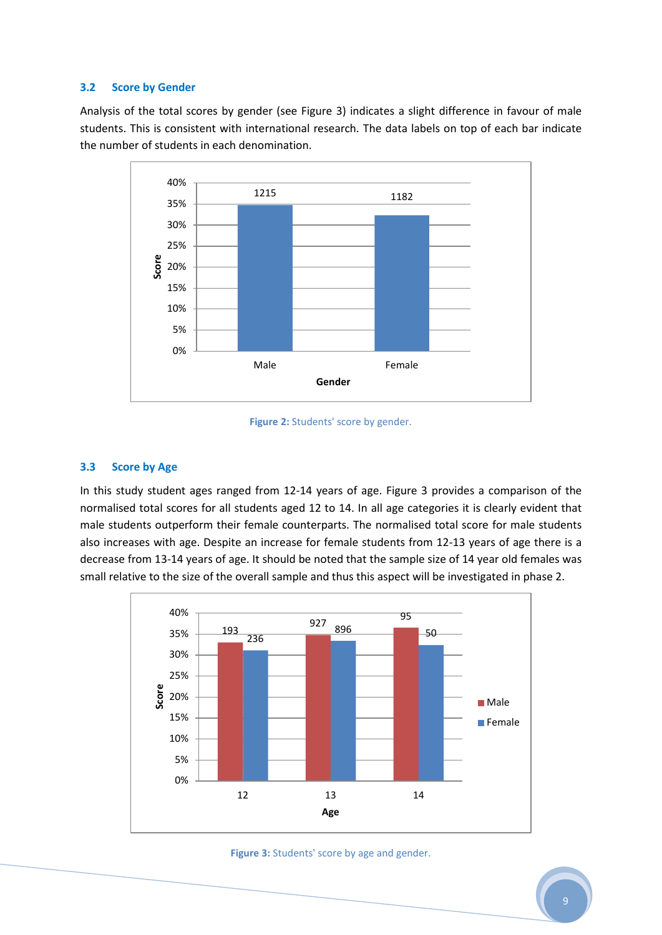### <span id="page-17-0"></span>**3.2 Score by Gender**

Analysis of the total scores by gender (see [Figure 3\)](#page-17-3) indicates a slight difference in favour of male students. This is consistent with international research. The data labels on top of each bar indicate the number of students in each denomination.



**Figure 2:** Students' score by gender.

## <span id="page-17-2"></span><span id="page-17-1"></span>**3.3 Score by Age**

In this study student ages ranged from 12-14 years of age. [Figure 3](#page-17-3) provides a comparison of the normalised total scores for all students aged 12 to 14. In all age categories it is clearly evident that male students outperform their female counterparts. The normalised total score for male students also increases with age. Despite an increase for female students from 12-13 years of age there is a decrease from 13-14 years of age. It should be noted that the sample size of 14 year old females was small relative to the size of the overall sample and thus this aspect will be investigated in phase 2.



<span id="page-17-3"></span>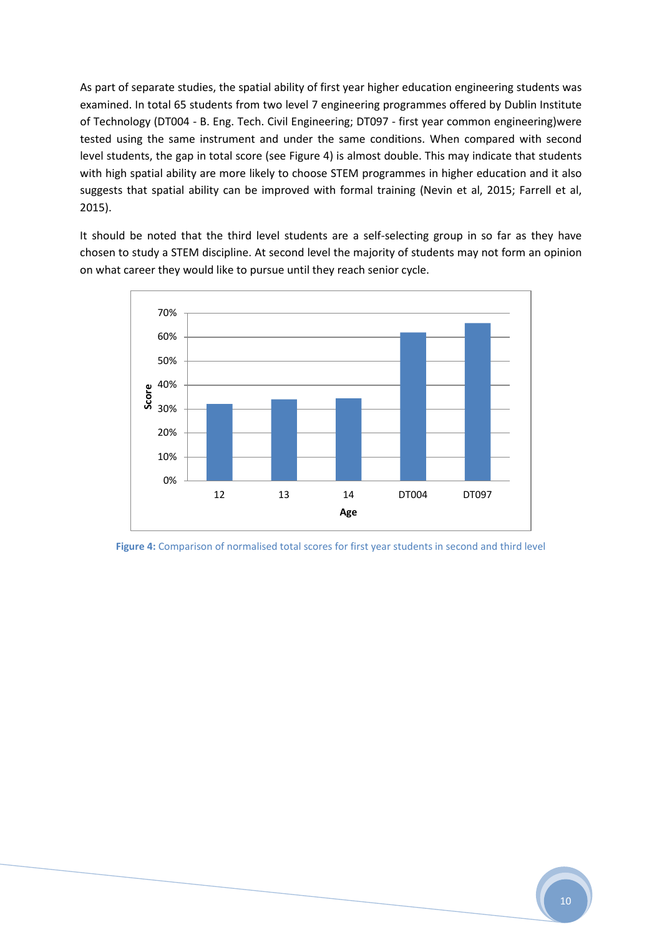As part of separate studies, the spatial ability of first year higher education engineering students was examined. In total 65 students from two level 7 engineering programmes offered by Dublin Institute of Technology (DT004 - B. Eng. Tech. Civil Engineering; DT097 - first year common engineering)were tested using the same instrument and under the same conditions. When compared with second level students, the gap in total score (see [Figure 4\)](#page-18-0) is almost double. This may indicate that students with high spatial ability are more likely to choose STEM programmes in higher education and it also suggests that spatial ability can be improved with formal training (Nevin et al, 2015; Farrell et al, 2015).

It should be noted that the third level students are a self-selecting group in so far as they have chosen to study a STEM discipline. At second level the majority of students may not form an opinion on what career they would like to pursue until they reach senior cycle.



<span id="page-18-0"></span>**Figure 4:** Comparison of normalised total scores for first year students in second and third level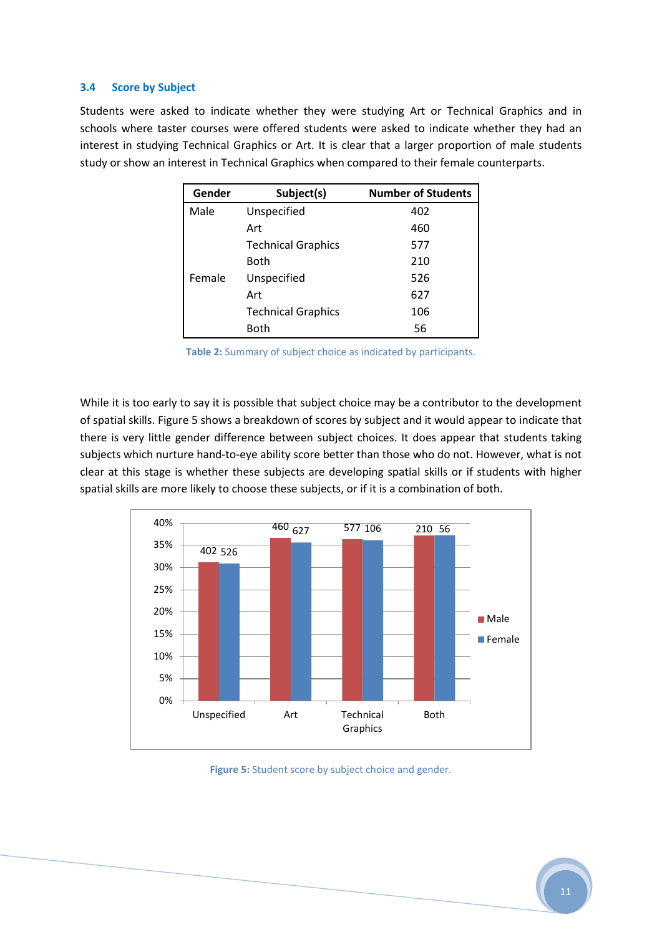#### <span id="page-19-0"></span>**3.4 Score by Subject**

Students were asked to indicate whether they were studying Art or Technical Graphics and in schools where taster courses were offered students were asked to indicate whether they had an interest in studying Technical Graphics or Art. It is clear that a larger proportion of male students study or show an interest in Technical Graphics when compared to their female counterparts.

| Gender | Subject(s)                | <b>Number of Students</b> |
|--------|---------------------------|---------------------------|
| Male   | Unspecified               | 402                       |
|        | Art                       | 460                       |
|        | <b>Technical Graphics</b> | 577                       |
|        | Both                      | 210                       |
| Female | Unspecified               | 526                       |
|        | Art                       | 627                       |
|        | <b>Technical Graphics</b> | 106                       |
|        | <b>Both</b>               | 56                        |

**Table 2:** Summary of subject choice as indicated by participants.

<span id="page-19-2"></span>While it is too early to say it is possible that subject choice may be a contributor to the development of spatial skills. Figure 5 shows a breakdown of scores by subject and it would appear to indicate that there is very little gender difference between subject choices. It does appear that students taking subjects which nurture hand-to-eye ability score better than those who do not. However, what is not clear at this stage is whether these subjects are developing spatial skills or if students with higher spatial skills are more likely to choose these subjects, or if it is a combination of both.



<span id="page-19-1"></span>**Figure 5:** Student score by subject choice and gender.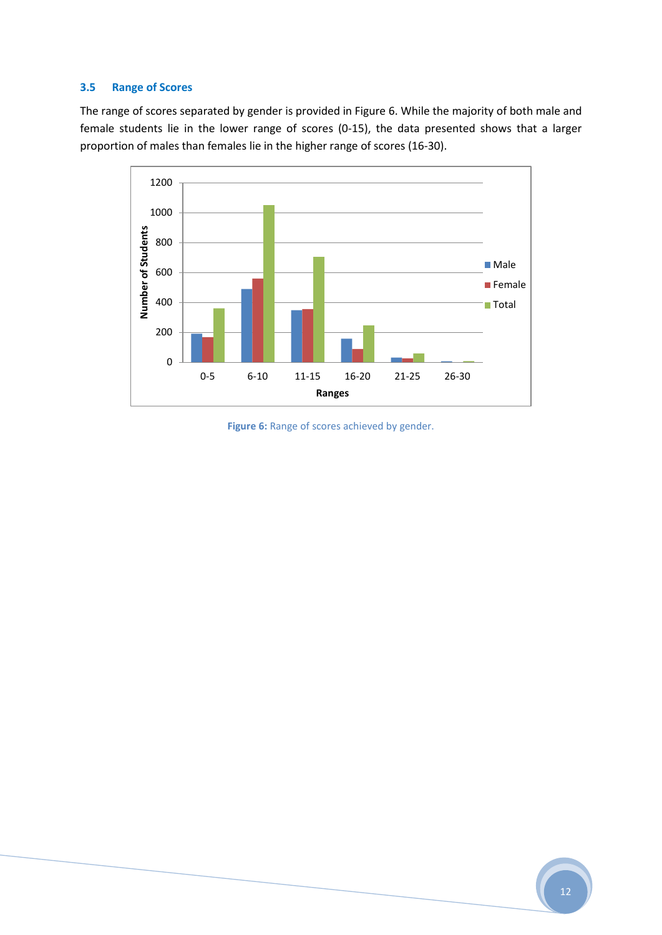## <span id="page-20-0"></span>**3.5 Range of Scores**

The range of scores separated by gender is provided in [Figure 6.](#page-20-1) While the majority of both male and female students lie in the lower range of scores (0-15), the data presented shows that a larger proportion of males than females lie in the higher range of scores (16-30).



<span id="page-20-1"></span>Figure 6: Range of scores achieved by gender.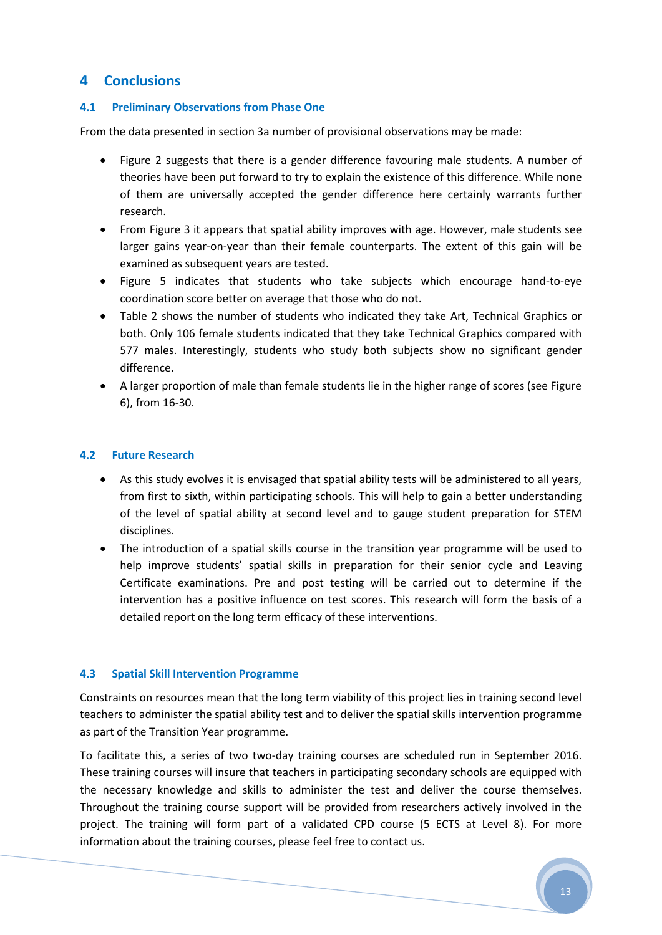## <span id="page-21-0"></span>**4 Conclusions**

## <span id="page-21-1"></span>**4.1 Preliminary Observations from Phase One**

From the data presented in sectio[n 3a](#page-16-0) number of provisional observations may be made:

- [Figure 2](#page-17-2) suggests that there is a gender difference favouring male students. A number of theories have been put forward to try to explain the existence of this difference. While none of them are universally accepted the gender difference here certainly warrants further research.
- From [Figure 3](#page-17-3) it appears that spatial ability improves with age. However, male students see larger gains year-on-year than their female counterparts. The extent of this gain will be examined as subsequent years are tested.
- Figure 5 indicates that students who take subjects which encourage hand-to-eye coordination score better on average that those who do not.
- [Table 2](#page-19-2) shows the number of students who indicated they take Art, Technical Graphics or both. Only 106 female students indicated that they take Technical Graphics compared with 577 males. Interestingly, students who study both subjects show no significant gender difference.
- A larger proportion of male than female students lie in the higher range of scores (see [Figure](#page-20-1)  [6\)](#page-20-1), from 16-30.

## <span id="page-21-2"></span>**4.2 Future Research**

- As this study evolves it is envisaged that spatial ability tests will be administered to all years, from first to sixth, within participating schools. This will help to gain a better understanding of the level of spatial ability at second level and to gauge student preparation for STEM disciplines.
- The introduction of a spatial skills course in the transition year programme will be used to help improve students' spatial skills in preparation for their senior cycle and Leaving Certificate examinations. Pre and post testing will be carried out to determine if the intervention has a positive influence on test scores. This research will form the basis of a detailed report on the long term efficacy of these interventions.

#### <span id="page-21-3"></span>**4.3 Spatial Skill Intervention Programme**

Constraints on resources mean that the long term viability of this project lies in training second level teachers to administer the spatial ability test and to deliver the spatial skills intervention programme as part of the Transition Year programme.

To facilitate this, a series of two two-day training courses are scheduled run in September 2016. These training courses will insure that teachers in participating secondary schools are equipped with the necessary knowledge and skills to administer the test and deliver the course themselves. Throughout the training course support will be provided from researchers actively involved in the project. The training will form part of a validated CPD course (5 ECTS at Level 8). For more information about the training courses, please feel free to contact us.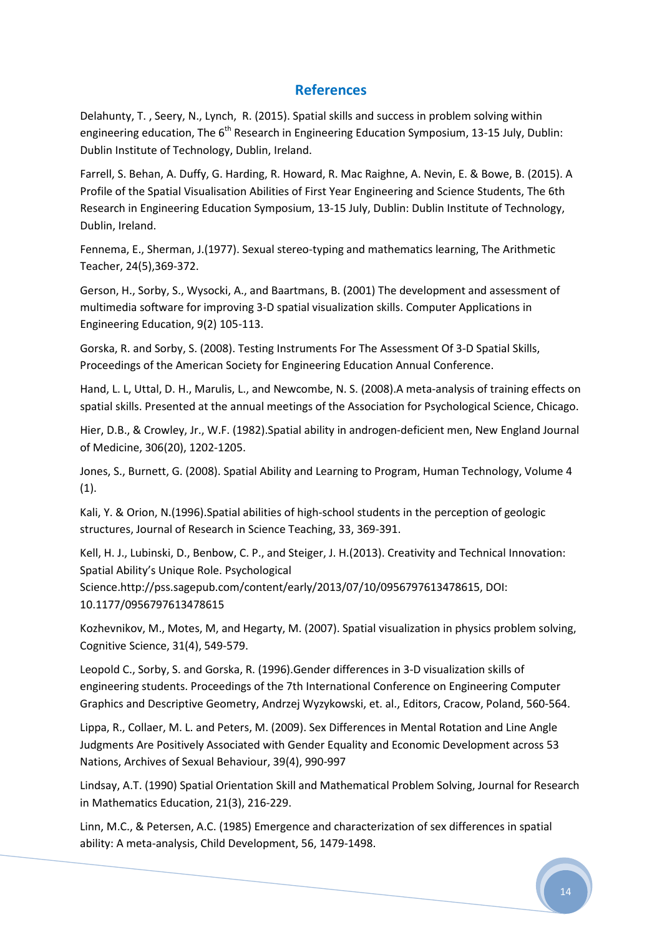## **References**

<span id="page-22-0"></span>Delahunty, T. , Seery, N., Lynch, R. (2015). Spatial skills and success in problem solving within engineering education, The  $6<sup>th</sup>$  Research in Engineering Education Symposium, 13-15 July, Dublin: Dublin Institute of Technology, Dublin, Ireland.

Farrell, S. Behan, A. Duffy, G. Harding, R. Howard, R. Mac Raighne, A. Nevin, E. & Bowe, B. (2015). A Profile of the Spatial Visualisation Abilities of First Year Engineering and Science Students, The 6th Research in Engineering Education Symposium, 13-15 July, Dublin: Dublin Institute of Technology, Dublin, Ireland.

Fennema, E., Sherman, J.(1977). Sexual stereo-typing and mathematics learning, The Arithmetic Teacher, 24(5),369-372.

Gerson, H., Sorby, S., Wysocki, A., and Baartmans, B. (2001) The development and assessment of multimedia software for improving 3-D spatial visualization skills. Computer Applications in Engineering Education, 9(2) 105-113.

Gorska, R. and Sorby, S. (2008). Testing Instruments For The Assessment Of 3-D Spatial Skills, Proceedings of the American Society for Engineering Education Annual Conference.

Hand, L. L, Uttal, D. H., Marulis, L., and Newcombe, N. S. (2008).A meta-analysis of training effects on spatial skills. Presented at the annual meetings of the Association for Psychological Science, Chicago.

Hier, D.B., & Crowley, Jr., W.F. (1982).Spatial ability in androgen-deficient men, New England Journal of Medicine, 306(20), 1202-1205.

Jones, S., Burnett, G. (2008). Spatial Ability and Learning to Program, Human Technology, Volume 4  $(1).$ 

Kali, Y. & Orion, N.(1996).Spatial abilities of high-school students in the perception of geologic structures, Journal of Research in Science Teaching, 33, 369-391.

Kell, H. J., Lubinski, D., Benbow, C. P., and Steiger, J. H.(2013). Creativity and Technical Innovation: Spatial Ability's Unique Role. Psychological Science.http://pss.sagepub.com/content/early/2013/07/10/0956797613478615, DOI: 10.1177/0956797613478615

Kozhevnikov, M., Motes, M, and Hegarty, M. (2007). Spatial visualization in physics problem solving, Cognitive Science, 31(4), 549-579.

Leopold C., Sorby, S. and Gorska, R. (1996).Gender differences in 3-D visualization skills of engineering students. Proceedings of the 7th International Conference on Engineering Computer Graphics and Descriptive Geometry, Andrzej Wyzykowski, et. al., Editors, Cracow, Poland, 560-564.

Lippa, R., Collaer, M. L. and Peters, M. (2009). Sex Differences in Mental Rotation and Line Angle Judgments Are Positively Associated with Gender Equality and Economic Development across 53 Nations, Archives of Sexual Behaviour, 39(4), 990-997

Lindsay, A.T. (1990) Spatial Orientation Skill and Mathematical Problem Solving, Journal for Research in Mathematics Education, 21(3), 216-229.

Linn, M.C., & Petersen, A.C. (1985) Emergence and characterization of sex differences in spatial ability: A meta-analysis, Child Development, 56, 1479-1498.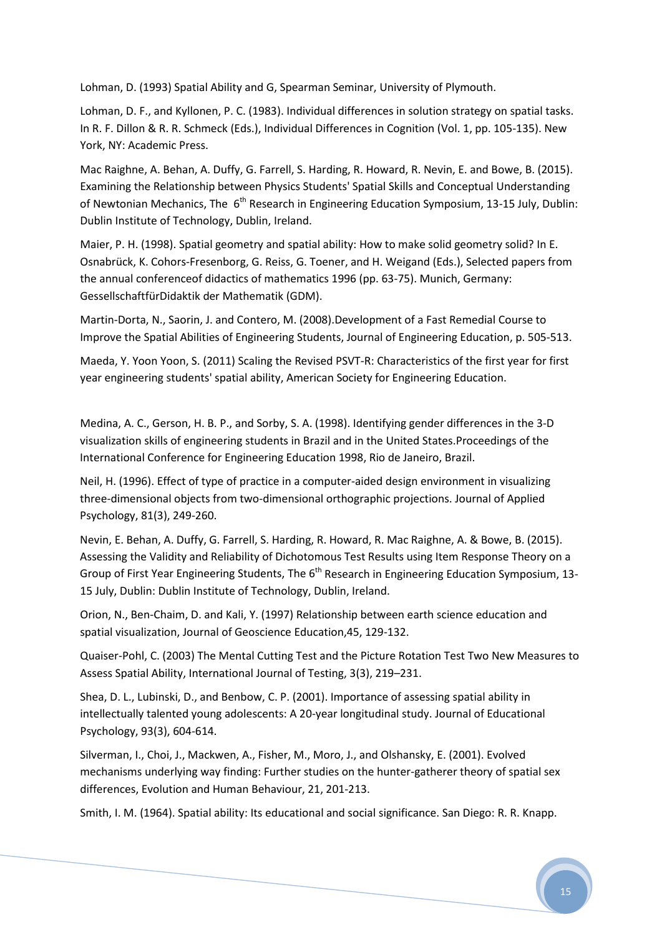Lohman, D. (1993) Spatial Ability and G, Spearman Seminar, University of Plymouth.

Lohman, D. F., and Kyllonen, P. C. (1983). Individual differences in solution strategy on spatial tasks. In R. F. Dillon & R. R. Schmeck (Eds.), Individual Differences in Cognition (Vol. 1, pp. 105-135). New York, NY: Academic Press.

Mac Raighne, A. Behan, A. Duffy, G. Farrell, S. Harding, R. Howard, R. Nevin, E. and Bowe, B. (2015). Examining the Relationship between Physics Students' Spatial Skills and Conceptual Understanding of Newtonian Mechanics, The  $6<sup>th</sup>$  Research in Engineering Education Symposium, 13-15 July, Dublin: Dublin Institute of Technology, Dublin, Ireland.

Maier, P. H. (1998). Spatial geometry and spatial ability: How to make solid geometry solid? In E. Osnabrück, K. Cohors-Fresenborg, G. Reiss, G. Toener, and H. Weigand (Eds.), Selected papers from the annual conferenceof didactics of mathematics 1996 (pp. 63-75). Munich, Germany: GessellschaftfürDidaktik der Mathematik (GDM).

Martin-Dorta, N., Saorin, J. and Contero, M. (2008).Development of a Fast Remedial Course to Improve the Spatial Abilities of Engineering Students, Journal of Engineering Education, p. 505-513.

Maeda, Y. Yoon Yoon, S. (2011) [Scaling the Revised PSVT-R: Characteristics of the](https://www.researchgate.net/publication/261876235_Scaling_the_Revised_PSVT-R_Characteristics_of_the_first_year_engineering_students) first year for first year engineering students' spatial ability, American Society for Engineering Education.

Medina, A. C., Gerson, H. B. P., and Sorby, S. A. (1998). Identifying gender differences in the 3-D visualization skills of engineering students in Brazil and in the United States.Proceedings of the International Conference for Engineering Education 1998, Rio de Janeiro, Brazil.

Neil, H. (1996). Effect of type of practice in a computer-aided design environment in visualizing three-dimensional objects from two-dimensional orthographic projections. Journal of Applied Psychology, 81(3), 249-260.

Nevin, E. Behan, A. Duffy, G. Farrell, S. Harding, R. Howard, R. Mac Raighne, A. & Bowe, B. (2015). Assessing the Validity and Reliability of Dichotomous Test Results using Item Response Theory on a Group of First Year Engineering Students, The 6<sup>th</sup> Research in Engineering Education Symposium, 13-15 July, Dublin: Dublin Institute of Technology, Dublin, Ireland.

Orion, N., Ben-Chaim, D. and Kali, Y. (1997) Relationship between earth science education and spatial visualization, Journal of Geoscience Education,45, 129-132.

Quaiser-Pohl, C. (2003) The Mental Cutting Test and the Picture Rotation Test Two New Measures to Assess Spatial Ability, International Journal of Testing, 3(3), 219–231.

Shea, D. L., Lubinski, D., and Benbow, C. P. (2001). Importance of assessing spatial ability in intellectually talented young adolescents: A 20-year longitudinal study. Journal of Educational Psychology, 93(3), 604-614.

Silverman, I., Choi, J., Mackwen, A., Fisher, M., Moro, J., and Olshansky, E. (2001). Evolved mechanisms underlying way finding: Further studies on the hunter-gatherer theory of spatial sex differences, Evolution and Human Behaviour, 21, 201-213.

Smith, I. M. (1964). Spatial ability: Its educational and social significance. San Diego: R. R. Knapp.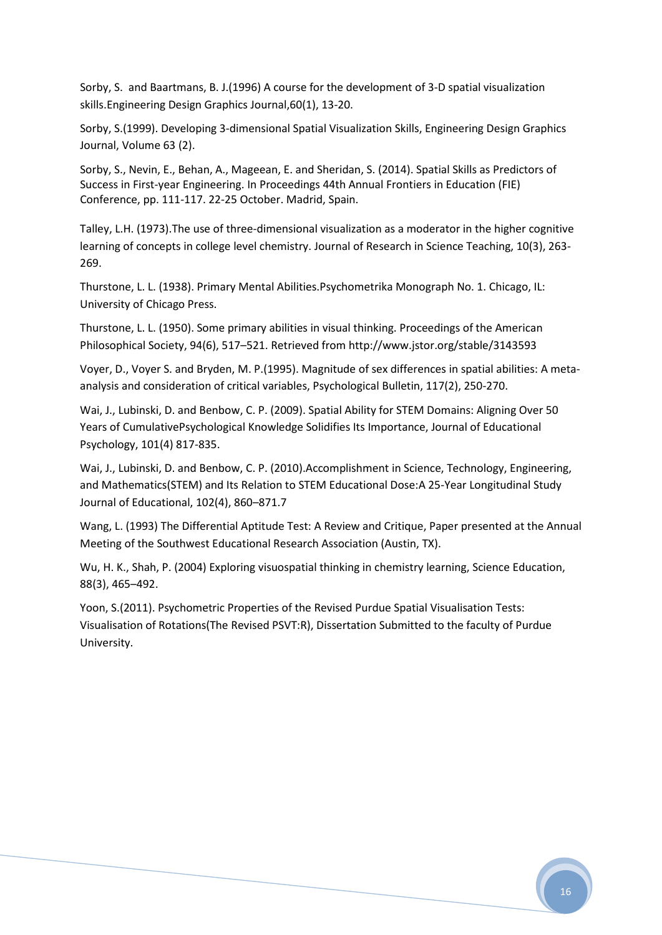Sorby, S. and Baartmans, B. J.(1996) A course for the development of 3-D spatial visualization skills.Engineering Design Graphics Journal,60(1), 13-20.

Sorby, S.(1999). Developing 3-dimensional Spatial Visualization Skills, Engineering Design Graphics Journal, Volume 63 (2).

Sorby, S., Nevin, E., Behan, A., Mageean, E. and Sheridan, S. (2014). Spatial Skills as Predictors of Success in First-year Engineering. In Proceedings 44th Annual Frontiers in Education (FIE) Conference, pp. 111-117. 22-25 October. Madrid, Spain.

Talley, L.H. (1973).The use of three-dimensional visualization as a moderator in the higher cognitive learning of concepts in college level chemistry. Journal of Research in Science Teaching, 10(3), 263- 269.

Thurstone, L. L. (1938). Primary Mental Abilities.Psychometrika Monograph No. 1. Chicago, IL: University of Chicago Press.

Thurstone, L. L. (1950). Some primary abilities in visual thinking. Proceedings of the American Philosophical Society, 94(6), 517–521. Retrieved from http://www.jstor.org/stable/3143593

Voyer, D., Voyer S. and Bryden, M. P.(1995). Magnitude of sex differences in spatial abilities: A metaanalysis and consideration of critical variables, Psychological Bulletin, 117(2), 250-270.

Wai, J., Lubinski, D. and Benbow, C. P. (2009). Spatial Ability for STEM Domains: Aligning Over 50 Years of CumulativePsychological Knowledge Solidifies Its Importance, Journal of Educational Psychology, 101(4) 817-835.

Wai, J., Lubinski, D. and Benbow, C. P. (2010).Accomplishment in Science, Technology, Engineering, and Mathematics(STEM) and Its Relation to STEM Educational Dose:A 25-Year Longitudinal Study Journal of Educational, 102(4), 860–871.7

Wang, L. (1993) The Differential Aptitude Test: A Review and Critique, Paper presented at the Annual Meeting of the Southwest Educational Research Association (Austin, TX).

Wu, H. K., Shah, P. (2004) Exploring visuospatial thinking in chemistry learning, Science Education, [88\(3\),](http://onlinelibrary.wiley.com/doi/10.1002/sce.v88:3/issuetoc) 465–492.

Yoon, S.(2011). Psychometric Properties of the Revised Purdue Spatial Visualisation Tests: Visualisation of Rotations(The Revised PSVT:R), Dissertation Submitted to the faculty of Purdue University.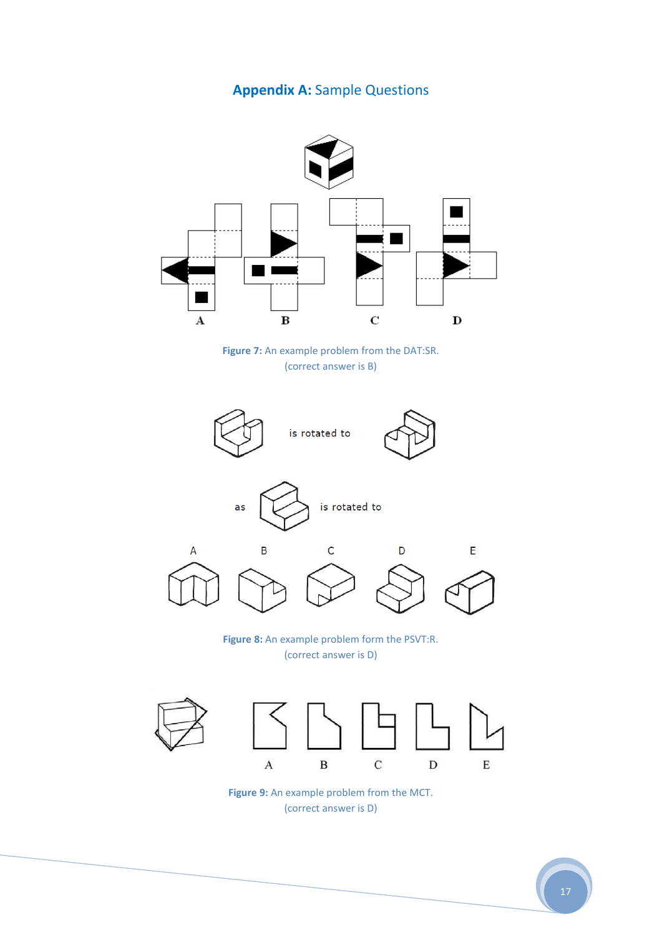## **Appendix A: Sample Questions**

<span id="page-25-0"></span>

**Figure 7:** An example problem from the DAT:SR. (correct answer is B)

<span id="page-25-1"></span>

<span id="page-25-3"></span><span id="page-25-2"></span>



**Figure 9:** An example problem from the MCT. (correct answer is D)